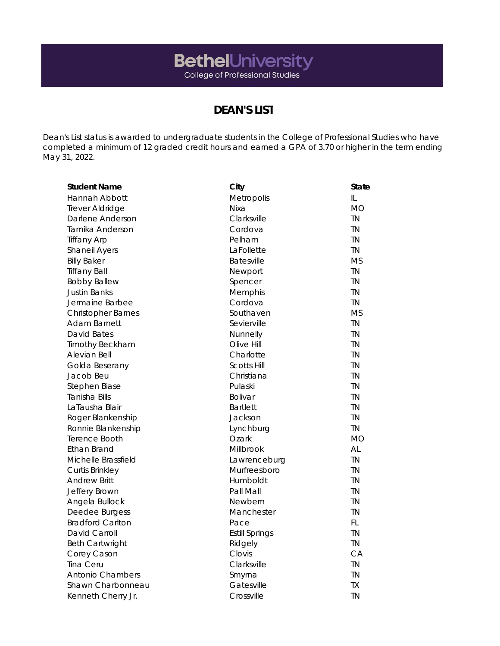## **BethelUniversity**<br>College of Professional Studies

## **DEAN'S LIST**

Dean's List status is awarded to undergraduate students in the College of Professional Studies who have completed a minimum of 12 graded credit hours and earned a GPA of 3.70 or higher in the term ending May 31, 2022.

| <b>Student Name</b>       | City                  | <b>State</b> |
|---------------------------|-----------------------|--------------|
| Hannah Abbott             | Metropolis            | IL.          |
| Trever Aldridge           | <b>Nixa</b>           | МO           |
| Darlene Anderson          | Clarksville           | <b>TN</b>    |
| Tamika Anderson           | Cordova               | TN           |
| <b>Tiffany Arp</b>        | Pelham                | <b>TN</b>    |
| Shaneil Ayers             | LaFollette            | <b>TN</b>    |
| <b>Billy Baker</b>        | <b>Batesville</b>     | <b>MS</b>    |
| <b>Tiffany Ball</b>       | Newport               | <b>TN</b>    |
| <b>Bobby Ballew</b>       | Spencer               | <b>TN</b>    |
| <b>Justin Banks</b>       | Memphis               | TN           |
| Jermaine Barbee           | Cordova               | <b>TN</b>    |
| <b>Christopher Barnes</b> | Southaven             | <b>MS</b>    |
| Adam Barnett              | Sevierville           | <b>TN</b>    |
| David Bates               | Nunnelly              | <b>TN</b>    |
| <b>Timothy Beckham</b>    | Olive Hill            | <b>TN</b>    |
| Alevian Bell              | Charlotte             | <b>TN</b>    |
| Golda Beserany            | <b>Scotts Hill</b>    | <b>TN</b>    |
| Jacob Beu                 | Christiana            | <b>TN</b>    |
| <b>Stephen Biase</b>      | Pulaski               | <b>TN</b>    |
| Tanisha Bills             | <b>Bolivar</b>        | TN           |
| LaTausha Blair            | <b>Bartlett</b>       | <b>TN</b>    |
| Roger Blankenship         | Jackson               | <b>TN</b>    |
| Ronnie Blankenship        | Lynchburg             | <b>TN</b>    |
| Terence Booth             | Ozark                 | <b>MO</b>    |
| Ethan Brand               | Millbrook             | AL           |
| Michelle Brassfield       | Lawrenceburg          | ΤN           |
| <b>Curtis Brinkley</b>    | Murfreesboro          | <b>TN</b>    |
| <b>Andrew Britt</b>       | Humboldt              | TN           |
| Jeffery Brown             | Pall Mall             | TN           |
| Angela Bullock            | Newbern               | <b>TN</b>    |
| Deedee Burgess            | Manchester            | <b>TN</b>    |
| <b>Bradford Carlton</b>   | Pace                  | FL.          |
| David Carroll             | <b>Estill Springs</b> | <b>TN</b>    |
| <b>Beth Cartwright</b>    | Ridgely               | TN           |
| Corey Cason               | Clovis                | CA           |
| <b>Tina Ceru</b>          | Clarksville           | <b>TN</b>    |
| <b>Antonio Chambers</b>   | Smyrna                | <b>TN</b>    |
| Shawn Charbonneau         | Gatesville            | <b>TX</b>    |
| Kenneth Cherry Jr.        | Crossville            | <b>TN</b>    |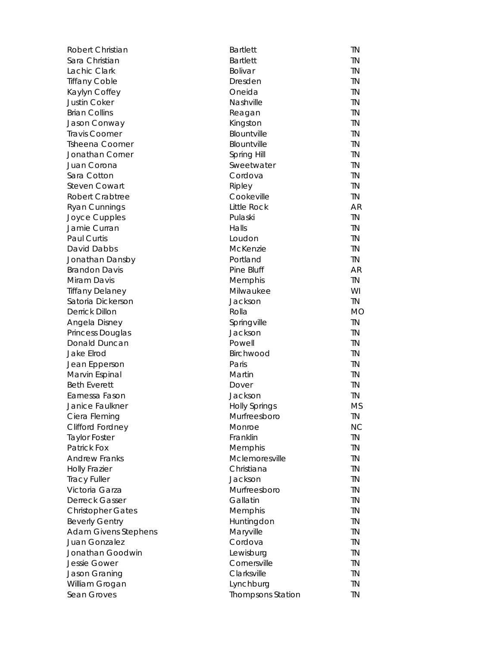| <b>Robert Christian</b>     | <b>Bartlett</b>          | TN        |
|-----------------------------|--------------------------|-----------|
| Sara Christian              | <b>Bartlett</b>          | <b>TN</b> |
| Lachic Clark                | <b>Bolivar</b>           | <b>TN</b> |
| <b>Tiffany Coble</b>        | Dresden                  | <b>TN</b> |
| Kaylyn Coffey               | Oneida                   | <b>TN</b> |
| <b>Justin Coker</b>         | Nashville                | <b>TN</b> |
| <b>Brian Collins</b>        | Reagan                   | <b>TN</b> |
| Jason Conway                | Kingston                 | <b>TN</b> |
| <b>Travis Coomer</b>        | Blountville              | <b>TN</b> |
| <b>Tsheena Coomer</b>       | Blountville              | <b>TN</b> |
| Jonathan Corner             | Spring Hill              | <b>TN</b> |
| Juan Corona                 | Sweetwater               | <b>TN</b> |
| Sara Cotton                 | Cordova                  | <b>TN</b> |
| <b>Steven Cowart</b>        | Ripley                   | TN        |
| Robert Crabtree             | Cookeville               | <b>TN</b> |
| <b>Ryan Cunnings</b>        | <b>Little Rock</b>       | AR        |
| Joyce Cupples               | Pulaski                  | <b>TN</b> |
| Jamie Curran                | Halls                    | <b>TN</b> |
| <b>Paul Curtis</b>          | Loudon                   | <b>TN</b> |
| David Dabbs                 | McKenzie                 | <b>TN</b> |
| Jonathan Dansby             | Portland                 | TN        |
| <b>Brandon Davis</b>        | Pine Bluff               | AR        |
| Miram Davis                 | Memphis                  | <b>TN</b> |
| <b>Tiffany Delaney</b>      | Milwaukee                | WI        |
| Satoria Dickerson           | Jackson                  | TN        |
| <b>Derrick Dillon</b>       | Rolla                    | <b>MO</b> |
| Angela Disney               | Springville              | <b>TN</b> |
| Princess Douglas            | Jackson                  | <b>TN</b> |
| Donald Duncan               | Powell                   | <b>TN</b> |
| Jake Elrod                  | Birchwood                | <b>TN</b> |
| Jean Epperson               | Paris                    | <b>TN</b> |
| Marvin Espinal              | Martin                   | <b>TN</b> |
| <b>Beth Everett</b>         | Dover                    | <b>TN</b> |
| Earnessa Fason              | Jackson                  | <b>TN</b> |
| Janice Faulkner             | <b>Holly Springs</b>     | <b>MS</b> |
| Ciera Fleming               | Murfreesboro             | TN        |
| Clifford Fordney            | Monroe                   | <b>NC</b> |
| <b>Taylor Foster</b>        | Franklin                 | <b>TN</b> |
| <b>Patrick Fox</b>          | Memphis                  | <b>TN</b> |
| <b>Andrew Franks</b>        | Mclemoresville           | <b>TN</b> |
| <b>Holly Frazier</b>        | Christiana               | <b>TN</b> |
| <b>Tracy Fuller</b>         | Jackson                  | <b>TN</b> |
| Victoria Garza              | Murfreesboro             | <b>TN</b> |
| Derreck Gasser              | Gallatin                 | <b>TN</b> |
| <b>Christopher Gates</b>    | Memphis                  | <b>TN</b> |
| <b>Beverly Gentry</b>       | Huntingdon               | TN        |
| <b>Adam Givens Stephens</b> | Maryville                | <b>TN</b> |
| Juan Gonzalez               | Cordova                  | <b>TN</b> |
| Jonathan Goodwin            | Lewisburg                | <b>TN</b> |
| <b>Jessie Gower</b>         | Cornersville             | <b>TN</b> |
| Jason Graning               | Clarksville              | <b>TN</b> |
| William Grogan              | Lynchburg                | <b>TN</b> |
| Sean Groves                 | <b>Thompsons Station</b> | <b>TN</b> |
|                             |                          |           |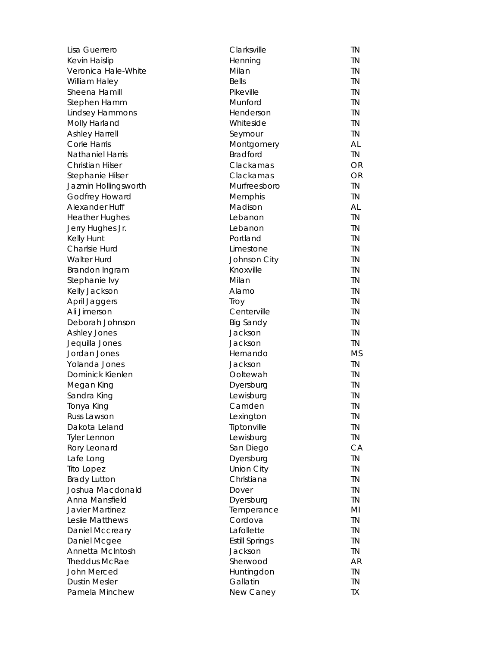| Lisa Guerrero           | Clarksville           | <b>TN</b> |
|-------------------------|-----------------------|-----------|
| Kevin Haislip           | Henning               | <b>TN</b> |
| Veronica Hale-White     | Milan                 | <b>TN</b> |
| William Haley           | <b>Bells</b>          | <b>TN</b> |
| Sheena Hamill           | Pikeville             | <b>TN</b> |
| Stephen Hamm            | Munford               | <b>TN</b> |
| Lindsey Hammons         | Henderson             | <b>TN</b> |
| Molly Harland           | Whiteside             | <b>TN</b> |
| <b>Ashley Harrell</b>   | Seymour               | <b>TN</b> |
| Corie Harris            | Montgomery            | AL        |
| Nathaniel Harris        | <b>Bradford</b>       | <b>TN</b> |
| <b>Christian Hilser</b> | Clackamas             | <b>OR</b> |
| Stephanie Hilser        | Clackamas             | OR        |
| Jazmin Hollingsworth    | Murfreesboro          | <b>TN</b> |
| Godfrey Howard          | Memphis               | <b>TN</b> |
| Alexander Huff          | Madison               | AL        |
| <b>Heather Hughes</b>   | Lebanon               | <b>TN</b> |
| Jerry Hughes Jr.        | Lebanon               | TN        |
| Kelly Hunt              | Portland              | <b>TN</b> |
| Charlsie Hurd           | Limestone             | <b>TN</b> |
| <b>Walter Hurd</b>      | Johnson City          | <b>TN</b> |
| Brandon Ingram          | Knoxville             | <b>TN</b> |
| Stephanie lvy           | Milan                 | <b>TN</b> |
| Kelly Jackson           | Alamo                 | <b>TN</b> |
| April Jaggers           | Troy                  | <b>TN</b> |
| Ali Jimerson            | Centerville           | <b>TN</b> |
| Deborah Johnson         | <b>Big Sandy</b>      | <b>TN</b> |
| Ashley Jones            | Jackson               | <b>TN</b> |
| Jequilla Jones          | Jackson               | <b>TN</b> |
| Jordan Jones            | Hernando              | <b>MS</b> |
| Yolanda Jones           | Jackson               | <b>TN</b> |
| <b>Dominick Kienlen</b> | Ooltewah              | <b>TN</b> |
| Megan King              | Dyersburg             | <b>TN</b> |
| Sandra King             | Lewisburg             | <b>TN</b> |
| Tonya King              | Camden                | TN        |
| Russ Lawson             | Lexington             | TN        |
| Dakota Leland           | Tiptonville           | <b>TN</b> |
| <b>Tyler Lennon</b>     | Lewisburg             | <b>TN</b> |
| Rory Leonard            | San Diego             | CA        |
| Lafe Long               | Dyersburg             | <b>TN</b> |
| <b>Tito Lopez</b>       | <b>Union City</b>     | <b>TN</b> |
| <b>Brady Lutton</b>     | Christiana            | <b>TN</b> |
| Joshua Macdonald        | Dover                 | <b>TN</b> |
| Anna Mansfield          | Dyersburg             | <b>TN</b> |
| Javier Martinez         | Temperance            | MI        |
| Leslie Matthews         | Cordova               | <b>TN</b> |
| Daniel Mccreary         | Lafollette            | <b>TN</b> |
| Daniel Mcgee            | <b>Estill Springs</b> | <b>TN</b> |
| Annetta McIntosh        | Jackson               | TN        |
| <b>Theddus McRae</b>    | Sherwood              | AR        |
| John Merced             | Huntingdon            | TN        |
| <b>Dustin Mesler</b>    | Gallatin              | <b>TN</b> |
| Pamela Minchew          | New Caney             | <b>TX</b> |
|                         |                       |           |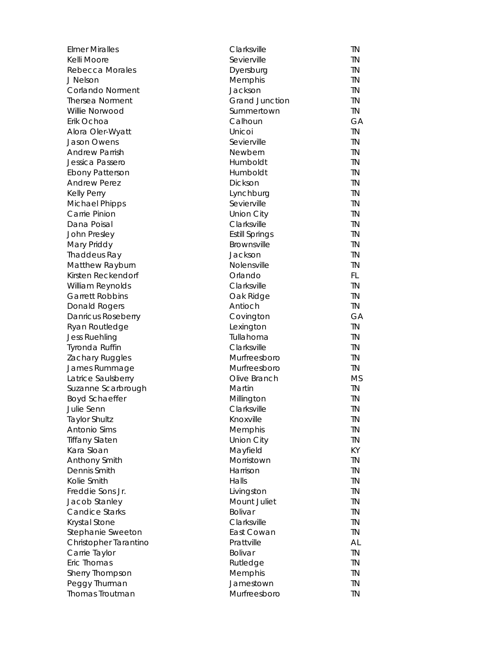| <b>Elmer Miralles</b>  | Clarksville           | <b>TN</b> |
|------------------------|-----------------------|-----------|
| Kelli Moore            | Sevierville           | <b>TN</b> |
| <b>Rebecca Morales</b> | Dyersburg             | <b>TN</b> |
| J Nelson               | Memphis               | <b>TN</b> |
| Corlando Norment       | Jackson               | TN        |
| <b>Thersea Norment</b> | <b>Grand Junction</b> | <b>TN</b> |
| Willie Norwood         | Summertown            | <b>TN</b> |
| Erik Ochoa             | Calhoun               | GA        |
| Alora Oler-Wyatt       | Unicoi                | <b>TN</b> |
| Jason Owens            | Sevierville           | <b>TN</b> |
| <b>Andrew Parrish</b>  | Newbern               | <b>TN</b> |
| Jessica Passero        | Humboldt              | <b>TN</b> |
| <b>Ebony Patterson</b> | Humboldt              | <b>TN</b> |
| <b>Andrew Perez</b>    | Dickson               | <b>TN</b> |
| Kelly Perry            | Lynchburg             | <b>TN</b> |
| <b>Michael Phipps</b>  | Sevierville           | <b>TN</b> |
| Carrie Pinion          | <b>Union City</b>     | <b>TN</b> |
| Dana Poisal            | Clarksville           | <b>TN</b> |
| John Presley           | <b>Estill Springs</b> | <b>TN</b> |
| Mary Priddy            | Brownsville           | TN        |
| Thaddeus Ray           | Jackson               | <b>TN</b> |
| Matthew Rayburn        | Nolensville           | <b>TN</b> |
| Kirsten Reckendorf     | Orlando               | FL        |
| William Reynolds       | Clarksville           | <b>TN</b> |
| <b>Garrett Robbins</b> | Oak Ridge             | <b>TN</b> |
| Donald Rogers          | Antioch               | <b>TN</b> |
| Danricus Roseberry     | Covington             | GA        |
| Ryan Routledge         | Lexington             | <b>TN</b> |
| <b>Jess Ruehling</b>   | Tullahoma             | <b>TN</b> |
| Tyronda Ruffin         | Clarksville           | <b>TN</b> |
| Zachary Ruggles        | Murfreesboro          | <b>TN</b> |
| James Rummage          | Murfreesboro          | TN        |
| Latrice Saulsberry     | Olive Branch          | MS        |
| Suzanne Scarbrough     | Martin                | <b>TN</b> |
| <b>Boyd Schaeffer</b>  | Millington            | TN        |
| Julie Senn             | Clarksville           | ΤN        |
| <b>Taylor Shultz</b>   | Knoxville             | <b>TN</b> |
| <b>Antonio Sims</b>    | Memphis               | TN        |
| <b>Tiffany Slaten</b>  | Union City            | <b>TN</b> |
| Kara Sloan             | Mayfield              | KY        |
| Anthony Smith          | Morristown            | <b>TN</b> |
| Dennis Smith           | Harrison              | <b>TN</b> |
| Kolie Smith            | Halls                 | <b>TN</b> |
| Freddie Sons Jr.       | Livingston            | <b>TN</b> |
| Jacob Stanley          | Mount Juliet          | <b>TN</b> |
| <b>Candice Starks</b>  | Bolivar               | <b>TN</b> |
| Krystal Stone          | Clarksville           | <b>TN</b> |
| Stephanie Sweeton      | East Cowan            | <b>TN</b> |
| Christopher Tarantino  | Prattville            | AL        |
| Carrie Taylor          | Bolivar               | <b>TN</b> |
| Eric Thomas            | Rutledge              | <b>TN</b> |
| Sherry Thompson        | Memphis               | <b>TN</b> |
| Peggy Thurman          | Jamestown             | <b>TN</b> |
| Thomas Troutman        | Murfreesboro          | TN        |
|                        |                       |           |